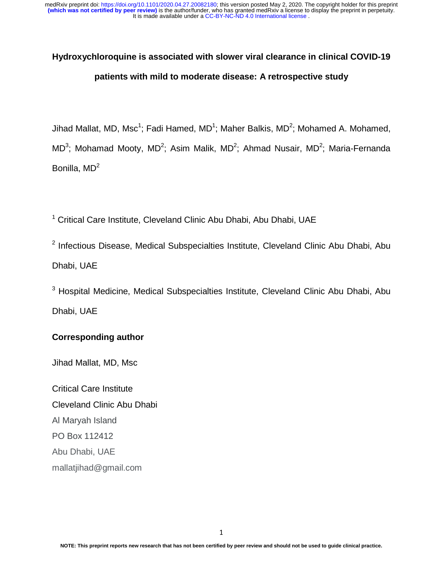# **Hydroxychloroquine is associated with slower viral clearance in clinical COVID-19 patients with mild to moderate disease: A retrospective study**

Jihad Mallat, MD, Msc<sup>1</sup>; Fadi Hamed, MD<sup>1</sup>; Maher Balkis, MD<sup>2</sup>; Mohamed A. Mohamed, MD<sup>3</sup>; Mohamad Mooty, MD<sup>2</sup>; Asim Malik, MD<sup>2</sup>; Ahmad Nusair, MD<sup>2</sup>; Maria-Fernanda Bonilla,  $MD<sup>2</sup>$ 

<sup>1</sup> Critical Care Institute, Cleveland Clinic Abu Dhabi, Abu Dhabi, UAE

<sup>2</sup> Infectious Disease, Medical Subspecialties Institute, Cleveland Clinic Abu Dhabi, Abu Dhabi, UAE

 $3$  Hospital Medicine, Medical Subspecialties Institute, Cleveland Clinic Abu Dhabi, Abu Dhabi, UAE

# **Corresponding author**

Jihad Mallat, MD, Msc

Critical Care Institute Cleveland Clinic Abu Dhabi Al Maryah Island PO Box 112412 Abu Dhabi, UAE mallatjihad@gmail.com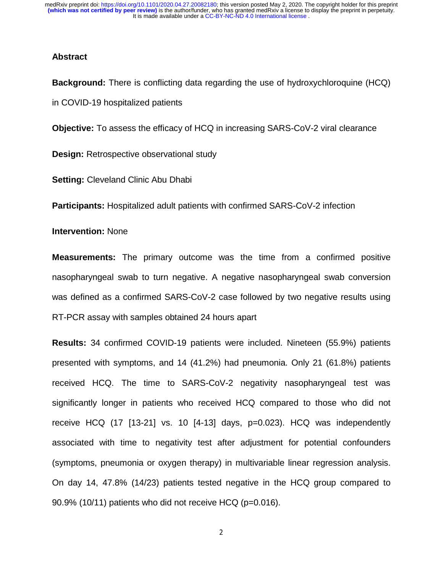It is made available under a [CC-BY-NC-ND 4.0 International license](http://creativecommons.org/licenses/by-nc-nd/4.0/) . **(which was not certified by peer review)** is the author/funder, who has granted medRxiv a license to display the preprint in perpetuity. medRxiv preprint doi: [https://doi.org/10.1101/2020.04.27.20082180;](https://doi.org/10.1101/2020.04.27.20082180) this version posted May 2, 2020. The copyright holder for this preprint

#### **Abstract**

**Background:** There is conflicting data regarding the use of hydroxychloroquine (HCQ) in COVID-19 hospitalized patients

**Objective:** To assess the efficacy of HCQ in increasing SARS-CoV-2 viral clearance

**Design:** Retrospective observational study

**Setting:** Cleveland Clinic Abu Dhabi

**Participants:** Hospitalized adult patients with confirmed SARS-CoV-2 infection

**Intervention:** None

**Measurements:** The primary outcome was the time from a confirmed positive nasopharyngeal swab to turn negative. A negative nasopharyngeal swab conversion was defined as a confirmed SARS-CoV-2 case followed by two negative results using RT-PCR assay with samples obtained 24 hours apart

**Results:** 34 confirmed COVID-19 patients were included. Nineteen (55.9%) patients presented with symptoms, and 14 (41.2%) had pneumonia. Only 21 (61.8%) patients received HCQ. The time to SARS-CoV-2 negativity nasopharyngeal test was significantly longer in patients who received HCQ compared to those who did not receive HCQ (17 [13-21] vs. 10 [4-13] days, p=0.023). HCQ was independently associated with time to negativity test after adjustment for potential confounders (symptoms, pneumonia or oxygen therapy) in multivariable linear regression analysis. On day 14, 47.8% (14/23) patients tested negative in the HCQ group compared to 90.9% (10/11) patients who did not receive HCQ (p=0.016).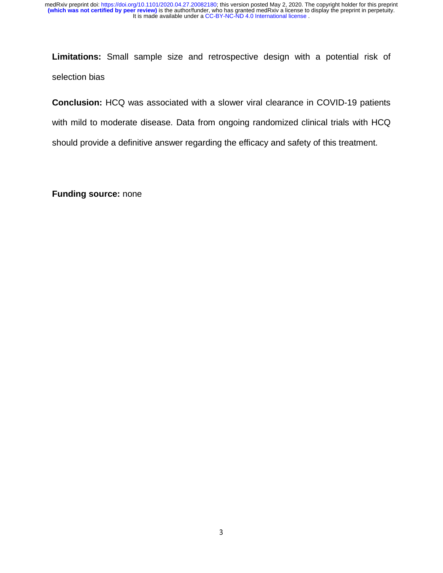**Limitations:** Small sample size and retrospective design with a potential risk of selection bias

**Conclusion:** HCQ was associated with a slower viral clearance in COVID-19 patients with mild to moderate disease. Data from ongoing randomized clinical trials with HCQ should provide a definitive answer regarding the efficacy and safety of this treatment.

**Funding source:** none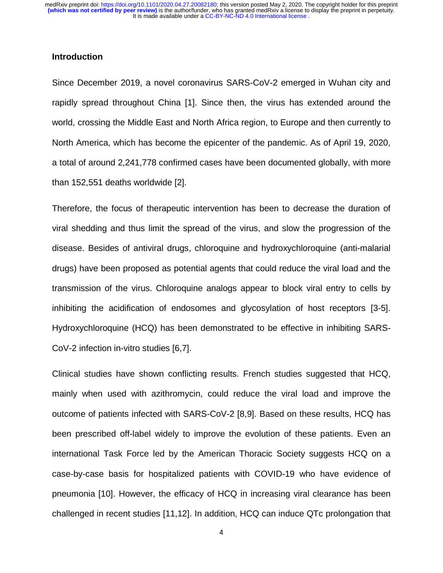### **Introduction**

Since December 2019, a novel coronavirus SARS-CoV-2 emerged in Wuhan city and rapidly spread throughout China [1]. Since then, the virus has extended around the world, crossing the Middle East and North Africa region, to Europe and then currently to North America, which has become the epicenter of the pandemic. As of April 19, 2020, a total of around 2,241,778 confirmed cases have been documented globally, with more than 152,551 deaths worldwide [2].

Therefore, the focus of therapeutic intervention has been to decrease the duration of viral shedding and thus limit the spread of the virus, and slow the progression of the disease. Besides of antiviral drugs, chloroquine and hydroxychloroquine (anti-malarial drugs) have been proposed as potential agents that could reduce the viral load and the transmission of the virus. Chloroquine analogs appear to block viral entry to cells by inhibiting the acidification of endosomes and glycosylation of host receptors [3-5]. Hydroxychloroquine (HCQ) has been demonstrated to be effective in inhibiting SARS-CoV-2 infection in-vitro studies [6,7].

Clinical studies have shown conflicting results. French studies suggested that HCQ, mainly when used with azithromycin, could reduce the viral load and improve the outcome of patients infected with SARS-CoV-2 [8,9]. Based on these results, HCQ has been prescribed off-label widely to improve the evolution of these patients. Even an international Task Force led by the American Thoracic Society suggests HCQ on a case-by-case basis for hospitalized patients with COVID-19 who have evidence of pneumonia [10]. However, the efficacy of HCQ in increasing viral clearance has been challenged in recent studies [11,12]. In addition, HCQ can induce QTc prolongation that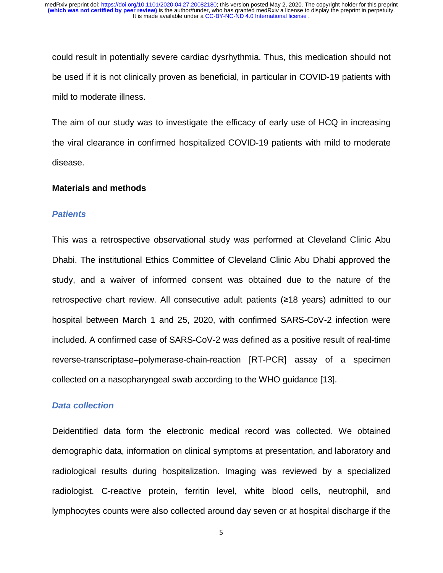could result in potentially severe cardiac dysrhythmia. Thus, this medication should not be used if it is not clinically proven as beneficial, in particular in COVID-19 patients with mild to moderate illness.

The aim of our study was to investigate the efficacy of early use of HCQ in increasing the viral clearance in confirmed hospitalized COVID-19 patients with mild to moderate disease.

### **Materials and methods**

#### *Patients*

This was a retrospective observational study was performed at Cleveland Clinic Abu Dhabi. The institutional Ethics Committee of Cleveland Clinic Abu Dhabi approved the study, and a waiver of informed consent was obtained due to the nature of the retrospective chart review. All consecutive adult patients (≥18 years) admitted to our hospital between March 1 and 25, 2020, with confirmed SARS-CoV-2 infection were included. A confirmed case of SARS-CoV-2 was defined as a positive result of real-time reverse-transcriptase–polymerase-chain-reaction [RT-PCR] assay of a specimen collected on a nasopharyngeal swab according to the WHO guidance [13].

## *Data collection*

Deidentified data form the electronic medical record was collected. We obtained demographic data, information on clinical symptoms at presentation, and laboratory and radiological results during hospitalization. Imaging was reviewed by a specialized radiologist. C-reactive protein, ferritin level, white blood cells, neutrophil, and lymphocytes counts were also collected around day seven or at hospital discharge if the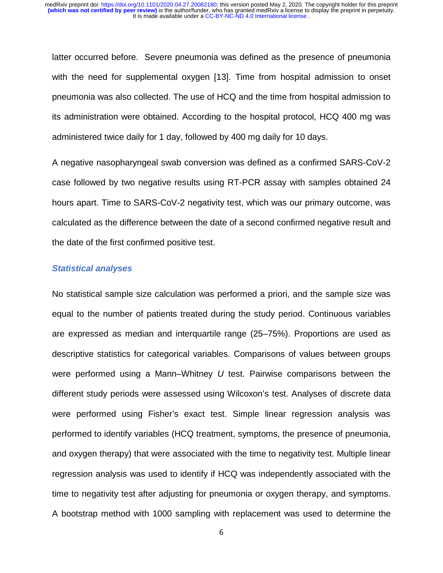latter occurred before. Severe pneumonia was defined as the presence of pneumonia with the need for supplemental oxygen [13]. Time from hospital admission to onset pneumonia was also collected. The use of HCQ and the time from hospital admission to its administration were obtained. According to the hospital protocol, HCQ 400 mg was administered twice daily for 1 day, followed by 400 mg daily for 10 days.

A negative nasopharyngeal swab conversion was defined as a confirmed SARS-CoV-2 case followed by two negative results using RT-PCR assay with samples obtained 24 hours apart. Time to SARS-CoV-2 negativity test, which was our primary outcome, was calculated as the difference between the date of a second confirmed negative result and the date of the first confirmed positive test.

#### *Statistical analyses*

No statistical sample size calculation was performed a priori, and the sample size was equal to the number of patients treated during the study period. Continuous variables are expressed as median and interquartile range (25–75%). Proportions are used as descriptive statistics for categorical variables. Comparisons of values between groups were performed using a Mann–Whitney *U* test. Pairwise comparisons between the different study periods were assessed using Wilcoxon's test. Analyses of discrete data were performed using Fisher's exact test. Simple linear regression analysis was performed to identify variables (HCQ treatment, symptoms, the presence of pneumonia, and oxygen therapy) that were associated with the time to negativity test. Multiple linear regression analysis was used to identify if HCQ was independently associated with the time to negativity test after adjusting for pneumonia or oxygen therapy, and symptoms. A bootstrap method with 1000 sampling with replacement was used to determine the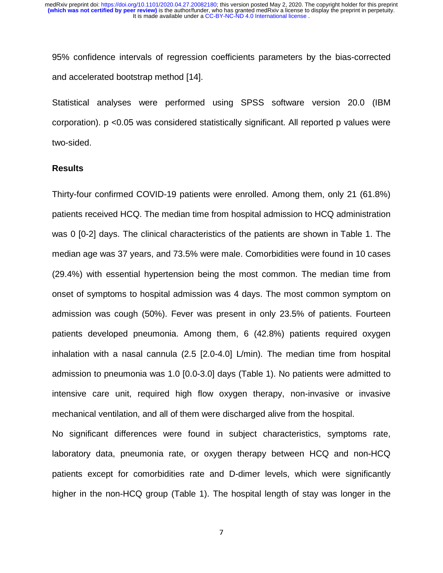95% confidence intervals of regression coefficients parameters by the bias-corrected and accelerated bootstrap method [14].

Statistical analyses were performed using SPSS software version 20.0 (IBM corporation). p <0.05 was considered statistically significant. All reported p values were two-sided.

## **Results**

Thirty-four confirmed COVID-19 patients were enrolled. Among them, only 21 (61.8%) patients received HCQ. The median time from hospital admission to HCQ administration was 0 [0-2] days. The clinical characteristics of the patients are shown in Table 1. The median age was 37 years, and 73.5% were male. Comorbidities were found in 10 cases (29.4%) with essential hypertension being the most common. The median time from onset of symptoms to hospital admission was 4 days. The most common symptom on admission was cough (50%). Fever was present in only 23.5% of patients. Fourteen patients developed pneumonia. Among them, 6 (42.8%) patients required oxygen inhalation with a nasal cannula (2.5 [2.0-4.0] L/min). The median time from hospital admission to pneumonia was 1.0 [0.0-3.0] days (Table 1). No patients were admitted to intensive care unit, required high flow oxygen therapy, non-invasive or invasive mechanical ventilation, and all of them were discharged alive from the hospital.

No significant differences were found in subject characteristics, symptoms rate, laboratory data, pneumonia rate, or oxygen therapy between HCQ and non-HCQ patients except for comorbidities rate and D-dimer levels, which were significantly higher in the non-HCQ group (Table 1). The hospital length of stay was longer in the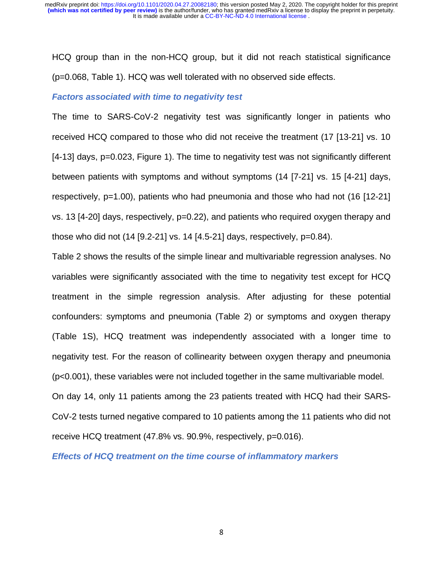HCQ group than in the non-HCQ group, but it did not reach statistical significance (p=0.068, Table 1). HCQ was well tolerated with no observed side effects.

### *Factors associated with time to negativity test*

The time to SARS-CoV-2 negativity test was significantly longer in patients who received HCQ compared to those who did not receive the treatment (17 [13-21] vs. 10 [4-13] days, p=0.023, Figure 1). The time to negativity test was not significantly different between patients with symptoms and without symptoms (14 [7-21] vs. 15 [4-21] days, respectively, p=1.00), patients who had pneumonia and those who had not (16 [12-21] vs. 13 [4-20] days, respectively, p=0.22), and patients who required oxygen therapy and those who did not  $(14 [9.2-21] \text{ vs. } 14 [4.5-21] \text{ days}$ , respectively, p=0.84).

Table 2 shows the results of the simple linear and multivariable regression analyses. No variables were significantly associated with the time to negativity test except for HCQ treatment in the simple regression analysis. After adjusting for these potential confounders: symptoms and pneumonia (Table 2) or symptoms and oxygen therapy (Table 1S), HCQ treatment was independently associated with a longer time to negativity test. For the reason of collinearity between oxygen therapy and pneumonia (p<0.001), these variables were not included together in the same multivariable model.

On day 14, only 11 patients among the 23 patients treated with HCQ had their SARS-CoV-2 tests turned negative compared to 10 patients among the 11 patients who did not receive HCQ treatment (47.8% vs. 90.9%, respectively, p=0.016).

*Effects of HCQ treatment on the time course of inflammatory markers*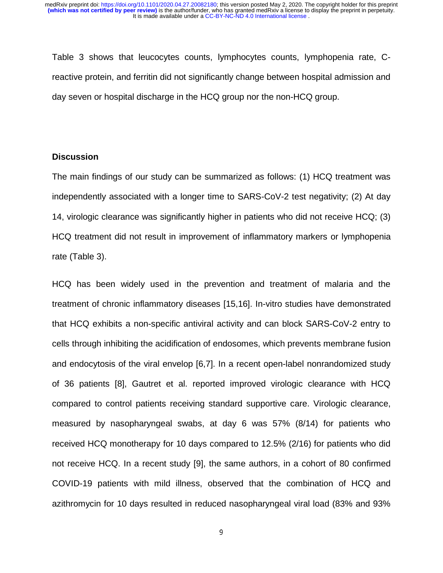Table 3 shows that leucocytes counts, lymphocytes counts, lymphopenia rate, Creactive protein, and ferritin did not significantly change between hospital admission and day seven or hospital discharge in the HCQ group nor the non-HCQ group.

## **Discussion**

The main findings of our study can be summarized as follows: (1) HCQ treatment was independently associated with a longer time to SARS-CoV-2 test negativity; (2) At day 14, virologic clearance was significantly higher in patients who did not receive HCQ; (3) HCQ treatment did not result in improvement of inflammatory markers or lymphopenia rate (Table 3).

HCQ has been widely used in the prevention and treatment of malaria and the treatment of chronic inflammatory diseases [15,16]. In-vitro studies have demonstrated that HCQ exhibits a non-specific antiviral activity and can block SARS-CoV-2 entry to cells through inhibiting the acidification of endosomes, which prevents membrane fusion and endocytosis of the viral envelop [6,7]. In a recent open-label nonrandomized study of 36 patients [8], Gautret et al. reported improved virologic clearance with HCQ compared to control patients receiving standard supportive care. Virologic clearance, measured by nasopharyngeal swabs, at day 6 was 57% (8/14) for patients who received HCQ monotherapy for 10 days compared to 12.5% (2/16) for patients who did not receive HCQ. In a recent study [9], the same authors, in a cohort of 80 confirmed COVID-19 patients with mild illness, observed that the combination of HCQ and azithromycin for 10 days resulted in reduced nasopharyngeal viral load (83% and 93%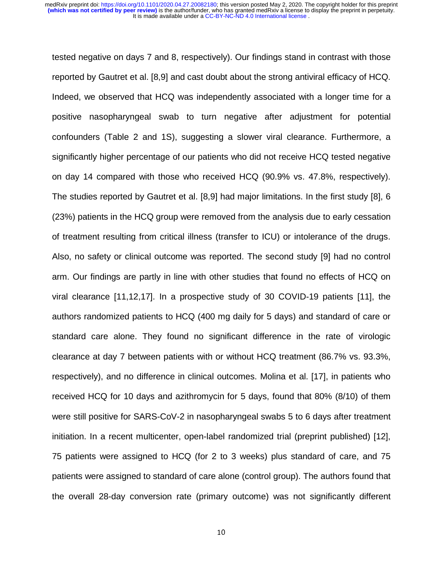tested negative on days 7 and 8, respectively). Our findings stand in contrast with those reported by Gautret et al. [8,9] and cast doubt about the strong antiviral efficacy of HCQ. Indeed, we observed that HCQ was independently associated with a longer time for a positive nasopharyngeal swab to turn negative after adjustment for potential confounders (Table 2 and 1S), suggesting a slower viral clearance. Furthermore, a significantly higher percentage of our patients who did not receive HCQ tested negative on day 14 compared with those who received HCQ (90.9% vs. 47.8%, respectively). The studies reported by Gautret et al. [8,9] had major limitations. In the first study [8], 6 (23%) patients in the HCQ group were removed from the analysis due to early cessation of treatment resulting from critical illness (transfer to ICU) or intolerance of the drugs. Also, no safety or clinical outcome was reported. The second study [9] had no control arm. Our findings are partly in line with other studies that found no effects of HCQ on viral clearance [11,12,17]. In a prospective study of 30 COVID-19 patients [11], the authors randomized patients to HCQ (400 mg daily for 5 days) and standard of care or standard care alone. They found no significant difference in the rate of virologic clearance at day 7 between patients with or without HCQ treatment (86.7% vs. 93.3%, respectively), and no difference in clinical outcomes. Molina et al. [17], in patients who received HCQ for 10 days and azithromycin for 5 days, found that 80% (8/10) of them were still positive for SARS-CoV-2 in nasopharyngeal swabs 5 to 6 days after treatment initiation. In a recent multicenter, open-label randomized trial (preprint published) [12], 75 patients were assigned to HCQ (for 2 to 3 weeks) plus standard of care, and 75 patients were assigned to standard of care alone (control group). The authors found that the overall 28-day conversion rate (primary outcome) was not significantly different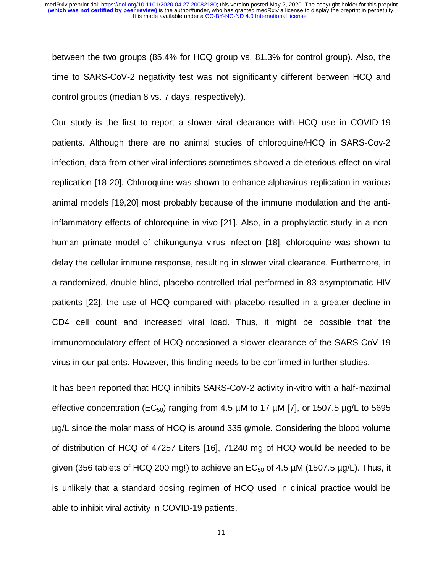between the two groups (85.4% for HCQ group vs. 81.3% for control group). Also, the time to SARS-CoV-2 negativity test was not significantly different between HCQ and control groups (median 8 vs. 7 days, respectively).

Our study is the first to report a slower viral clearance with HCQ use in COVID-19 patients. Although there are no animal studies of chloroquine/HCQ in SARS-Cov-2 infection, data from other viral infections sometimes showed a deleterious effect on viral replication [18-20]. Chloroquine was shown to enhance alphavirus replication in various animal models [19,20] most probably because of the immune modulation and the antiinflammatory effects of chloroquine in vivo [21]. Also, in a prophylactic study in a nonhuman primate model of chikungunya virus infection [18], chloroquine was shown to delay the cellular immune response, resulting in slower viral clearance. Furthermore, in a randomized, double-blind, placebo-controlled trial performed in 83 asymptomatic HIV patients [22], the use of HCQ compared with placebo resulted in a greater decline in CD4 cell count and increased viral load. Thus, it might be possible that the immunomodulatory effect of HCQ occasioned a slower clearance of the SARS-CoV-19 virus in our patients. However, this finding needs to be confirmed in further studies.

It has been reported that HCQ inhibits SARS-CoV-2 activity in-vitro with a half-maximal effective concentration (EC<sub>50</sub>) ranging from 4.5  $\mu$ M to 17  $\mu$ M [7], or 1507.5  $\mu$ g/L to 5695 µg/L since the molar mass of HCQ is around 335 g/mole. Considering the blood volume of distribution of HCQ of 47257 Liters [16], 71240 mg of HCQ would be needed to be given (356 tablets of HCQ 200 mg!) to achieve an  $EC_{50}$  of 4.5  $\mu$ M (1507.5  $\mu$ g/L). Thus, it is unlikely that a standard dosing regimen of HCQ used in clinical practice would be able to inhibit viral activity in COVID-19 patients.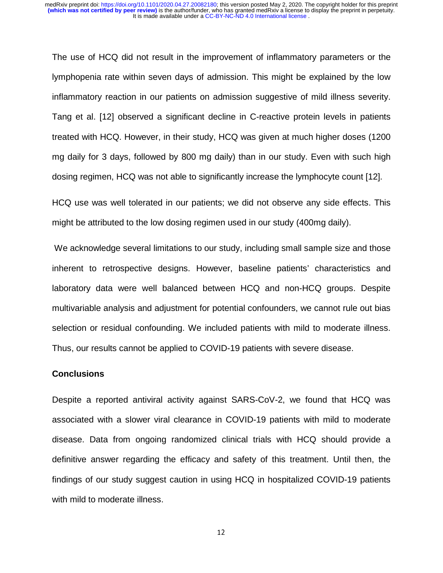The use of HCQ did not result in the improvement of inflammatory parameters or the lymphopenia rate within seven days of admission. This might be explained by the low inflammatory reaction in our patients on admission suggestive of mild illness severity. Tang et al. [12] observed a significant decline in C-reactive protein levels in patients treated with HCQ. However, in their study, HCQ was given at much higher doses (1200 mg daily for 3 days, followed by 800 mg daily) than in our study. Even with such high dosing regimen, HCQ was not able to significantly increase the lymphocyte count [12].

HCQ use was well tolerated in our patients; we did not observe any side effects. This might be attributed to the low dosing regimen used in our study (400mg daily).

 We acknowledge several limitations to our study, including small sample size and those inherent to retrospective designs. However, baseline patients' characteristics and laboratory data were well balanced between HCQ and non-HCQ groups. Despite multivariable analysis and adjustment for potential confounders, we cannot rule out bias selection or residual confounding. We included patients with mild to moderate illness. Thus, our results cannot be applied to COVID-19 patients with severe disease.

#### **Conclusions**

Despite a reported antiviral activity against SARS-CoV-2, we found that HCQ was associated with a slower viral clearance in COVID-19 patients with mild to moderate disease. Data from ongoing randomized clinical trials with HCQ should provide a definitive answer regarding the efficacy and safety of this treatment. Until then, the findings of our study suggest caution in using HCQ in hospitalized COVID-19 patients with mild to moderate illness.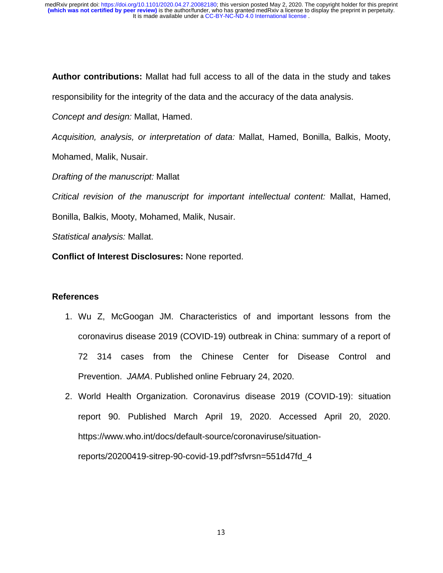**Author contributions:** Mallat had full access to all of the data in the study and takes

responsibility for the integrity of the data and the accuracy of the data analysis.

*Concept and design:* Mallat, Hamed.

*Acquisition, analysis, or interpretation of data:* Mallat, Hamed, Bonilla, Balkis, Mooty,

Mohamed, Malik, Nusair.

*Drafting of the manuscript:* Mallat

*Critical revision of the manuscript for important intellectual content:* Mallat, Hamed, Bonilla, Balkis, Mooty, Mohamed, Malik, Nusair.

*Statistical analysis:* Mallat.

**Conflict of Interest Disclosures:** None reported.

## **References**

- 1. Wu Z, McGoogan JM. Characteristics of and important lessons from the coronavirus disease 2019 (COVID-19) outbreak in China: summary of a report of 72 314 cases from the Chinese Center for Disease Control and Prevention. *JAMA*. Published online February 24, 2020.
- 2. World Health Organization. Coronavirus disease 2019 (COVID-19): situation report 90. Published March April 19, 2020. Accessed April 20, 2020. https://www.who.int/docs/default-source/coronaviruse/situationreports/20200419-sitrep-90-covid-19.pdf?sfvrsn=551d47fd\_4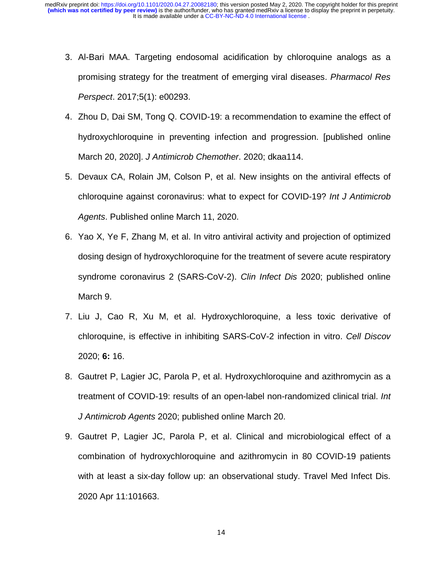- 3. Al-Bari MAA. Targeting endosomal acidification by chloroquine analogs as a promising strategy for the treatment of emerging viral diseases. *Pharmacol Res Perspect*. 2017;5(1): e00293.
- 4. Zhou D, Dai SM, Tong Q. COVID-19: a recommendation to examine the effect of hydroxychloroquine in preventing infection and progression. [published online March 20, 2020]. *J Antimicrob Chemother*. 2020; dkaa114.
- 5. Devaux CA, Rolain JM, Colson P, et al. New insights on the antiviral effects of chloroquine against coronavirus: what to expect for COVID-19? *Int J Antimicrob Agents*. Published online March 11, 2020.
- 6. Yao X, Ye F, Zhang M, et al. In vitro antiviral activity and projection of optimized dosing design of hydroxychloroquine for the treatment of severe acute respiratory syndrome coronavirus 2 (SARS-CoV-2). *Clin Infect Dis* 2020; published online March 9.
- 7. Liu J, Cao R, Xu M, et al. Hydroxychloroquine, a less toxic derivative of chloroquine, is effective in inhibiting SARS-CoV-2 infection in vitro. *Cell Discov*  2020; **6:** 16.
- 8. Gautret P, Lagier JC, Parola P, et al. Hydroxychloroquine and azithromycin as a treatment of COVID-19: results of an open-label non-randomized clinical trial. *Int J Antimicrob Agents* 2020; published online March 20.
- 9. Gautret P, Lagier JC, Parola P, et al. Clinical and microbiological effect of a combination of hydroxychloroquine and azithromycin in 80 COVID-19 patients with at least a six-day follow up: an observational study. Travel Med Infect Dis. 2020 Apr 11:101663.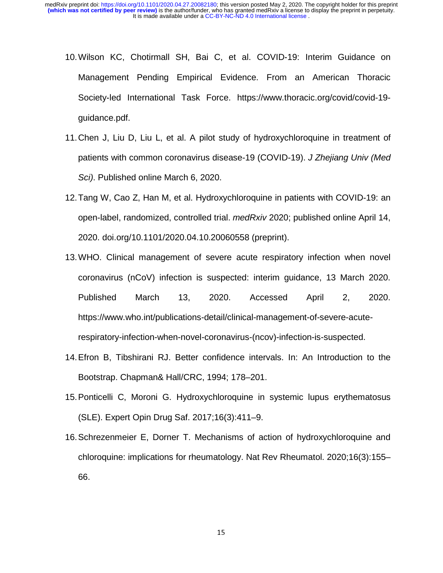- 10. Wilson KC, Chotirmall SH, Bai C, et al. COVID-19: Interim Guidance on ‐19: Interim Guidance on Management Pending Empirical Evidence. From an American Thoracic Society‐led International Task Force. https://www.thoracic.org/covid/covid-19 guidance.pdf.
- 11. Chen J, Liu D, Liu L, et al. A pilot study of hydroxychloroquine in treatment of patients with common coronavirus disease-19 (COVID-19). *J Zhejiang Univ (Med Sci)*. Published online March 6, 2020.
- 12. Tang W, Cao Z, Han M, et al. Hydroxychloroquine in patients with COVID-19: an open-label, randomized, controlled trial. *medRxiv* 2020; published online April 14, 2020. doi.org/10.1101/2020.04.10.20060558 (preprint).
- 13. WHO. Clinical management of severe acute respiratory infection when novel coronavirus (nCoV) infection is suspected: interim guidance, 13 March 2020. Published March 13, 2020. Accessed April 2, 2020. https://www.who.int/publications-detail/clinical-management-of-severe-acuterespiratory-infection-when-novel-coronavirus-(ncov)-infection-is-suspected.
- 14. Efron B, Tibshirani RJ. Better confidence intervals. In: An Introduction to the Bootstrap. Chapman& Hall/CRC, 1994; 178–201.
- 15. Ponticelli C, Moroni G. Hydroxychloroquine in systemic lupus erythematosus (SLE). Expert Opin Drug Saf. 2017;16(3):411–9.
- 16. Schrezenmeier E, Dorner T. Mechanisms of action of hydroxychloroquine and chloroquine: implications for rheumatology. Nat Rev Rheumatol. 2020;16(3):155– 66.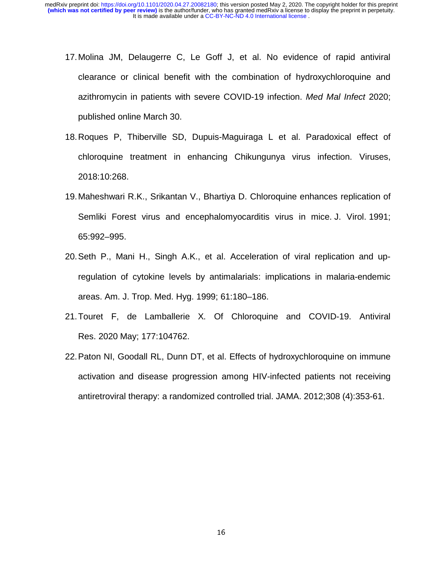- 17. Molina JM, Delaugerre C, Le Goff J, et al. No evidence of rapid antiviral clearance or clinical benefit with the combination of hydroxychloroquine and azithromycin in patients with severe COVID-19 infection. *Med Mal Infect* 2020; published online March 30.
- 18. Roques P, Thiberville SD, Dupuis-Maguiraga L et al. Paradoxical effect of chloroquine treatment in enhancing Chikungunya virus infection. Viruses, 2018:10:268.
- 19. Maheshwari R.K., Srikantan V., Bhartiya D. Chloroquine enhances replication of Semliki Forest virus and encephalomyocarditis virus in mice. J. Virol. 1991; 65:992–995.
- 20. Seth P., Mani H., Singh A.K., et al. Acceleration of viral replication and upregulation of cytokine levels by antimalarials: implications in malaria-endemic areas. Am. J. Trop. Med. Hyg. 1999; 61:180–186.
- 21. Touret F, de Lamballerie X. Of Chloroquine and COVID-19. Antiviral Res. 2020 May; 177:104762.
- 22. Paton NI, Goodall RL, Dunn DT, et al. Effects of hydroxychloroquine on immune activation and disease progression among HIV-infected patients not receiving antiretroviral therapy: a randomized controlled trial. JAMA. 2012;308 (4):353-61.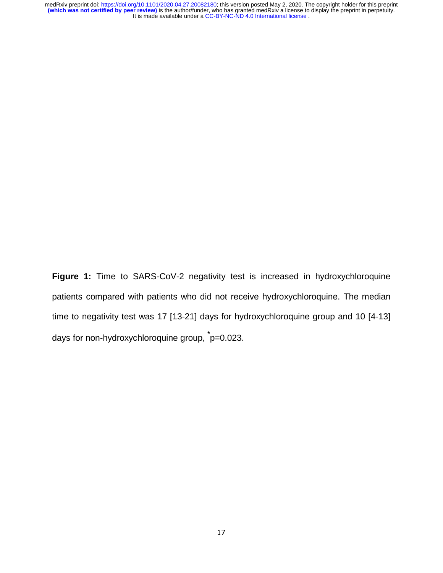**Figure 1:** Time to SARS-CoV-2 negativity test is increased in hydroxychloroquine patients compared with patients who did not receive hydroxychloroquine. The median time to negativity test was 17 [13-21] days for hydroxychloroquine group and 10 [4-13] days for non-hydroxychloroquine group, **\*** p=0.023.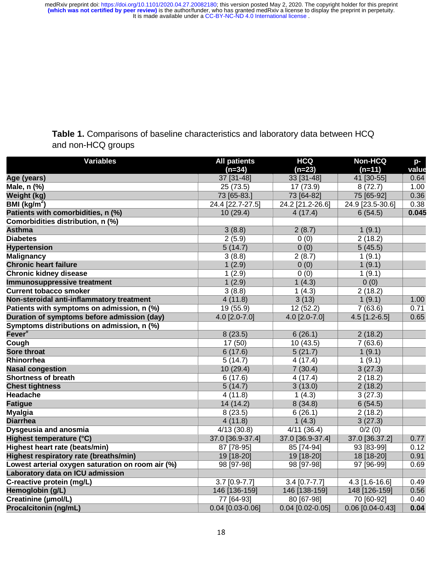**Table 1.** Comparisons of baseline characteristics and laboratory data between HCQ and non-HCQ groups

| <b>Variables</b>                                  | <b>All patients</b> | <b>HCQ</b>       | <b>Non-HCQ</b>   | p-    |
|---------------------------------------------------|---------------------|------------------|------------------|-------|
|                                                   | $(n=34)$            | $(n=23)$         | $(n=11)$         | value |
| Age (years)                                       | 37 [31-48]          | 33 [31-48]       | 41 [30-55]       | 0.64  |
| Male, n (%)                                       | 25 (73.5)           | 17 (73.9)        | 8(72.7)          | 1.00  |
| Weight (kg)                                       | 73 [65-83.]         | 73 [64-82]       | 75 [65-92]       | 0.36  |
| BMI ( $kg/m2$ )                                   | 24.4 [22.7-27.5]    | 24.2 [21.2-26.6] | 24.9 [23.5-30.6] | 0.38  |
| Patients with comorbidities, n (%)                | 10(29.4)            | 4(17.4)          | 6(54.5)          | 0.045 |
| Comorbidities distribution, n (%)                 |                     |                  |                  |       |
| <b>Asthma</b>                                     | 3(8.8)              | 2(8.7)           | 1(9.1)           |       |
| <b>Diabetes</b>                                   | 2(5.9)              | 0(0)             | 2(18.2)          |       |
| <b>Hypertension</b>                               | 5(14.7)             | 0(0)             | 5(45.5)          |       |
| <b>Malignancy</b>                                 | 3(8.8)              | 2(8.7)           | 1(9.1)           |       |
| <b>Chronic heart failure</b>                      | 1(2.9)              | 0(0)             | 1(9.1)           |       |
| <b>Chronic kidney disease</b>                     | 1(2.9)              | 0(0)             | 1(9.1)           |       |
| Immunosuppressive treatment                       | 1(2.9)              | 1(4.3)           | 0(0)             |       |
| <b>Current tobacco smoker</b>                     | 3(8.8)              | 1(4.3)           | 2(18.2)          |       |
| Non-steroidal anti-inflammatory treatment         | 4(11.8)             | 3(13)            | 1(9.1)           | 1.00  |
| Patients with symptoms on admission, n (%)        | 19 (55.9)           | 12(52.2)         | 7(63.6)          | 0.71  |
| Duration of symptoms before admission (day)       | 4.0 [2.0-7.0]       | 4.0 [2.0-7.0]    | 4.5 [1.2-6.5]    | 0.65  |
| Symptoms distributions on admission, n (%)        |                     |                  |                  |       |
| Fever <sup>#</sup>                                | 8(23.5)             | 6(26.1)          | 2(18.2)          |       |
| Cough                                             | 17 (50)             | 10(43.5)         | 7(63.6)          |       |
| <b>Sore throat</b>                                | 6(17.6)             | 5(21.7)          | 1(9.1)           |       |
| Rhinorrhea                                        | 5(14.7)             | 4(17.4)          | 1(9.1)           |       |
| <b>Nasal congestion</b>                           | 10 (29.4)           | 7(30.4)          | 3(27.3)          |       |
| Shortness of breath                               | 6(17.6)             | 4(17.4)          | 2(18.2)          |       |
| <b>Chest tightness</b>                            | 5(14.7)             | 3(13.0)          | 2(18.2)          |       |
| <b>Headache</b>                                   | 4(11.8)             | 1(4.3)           | 3(27.3)          |       |
| <b>Fatigue</b>                                    | 14 (14.2)           | 8(34.8)          | 6(54.5)          |       |
| <b>Myalgia</b>                                    | 8(23.5)             | 6(26.1)          | 2(18.2)          |       |
| <b>Diarrhea</b>                                   | 4(11.8)             | 1(4.3)           | 3(27.3)          |       |
| Dysgeusia and anosmia                             | 4/13(30.8)          | 4/11(36.4)       | 0/2(0)           |       |
| Highest temperature (°C)                          | 37.0 [36.9-37.4]    | 37.0 [36.9-37.4] | 37.0 [36.37.2]   | 0.77  |
| Highest heart rate (beats/min)                    | 87 [78-95]          | 85 [74-94]       | 93 [83-99]       | 0.12  |
| <b>Highest respiratory rate (breaths/min)</b>     | 19 [18-20]          | 19 [18-20]       | 18 [18-20]       | 0.91  |
| Lowest arterial oxygen saturation on room air (%) | 98 [97-98]          | 98 [97-98]       | 97 [96-99]       | 0.69  |
| Laboratory data on ICU admission                  |                     |                  |                  |       |
| C-reactive protein (mg/L)                         | 3.7 [0.9-7.7]       | $3.4$ [0.7-7.7]  | $4.3$ [1.6-16.6] | 0.49  |
| Hemoglobin (g/L)                                  | 146 [136-159]       | 146 [138-159]    | 148 [126-159]    | 0.56  |
| Creatinine (µmol/L)                               | 77 [64-93]          | 80 [67-98]       | 70 [60-92]       | 0.40  |
| <b>Procalcitonin (ng/mL)</b>                      | 0.04 [0.03-0.06]    | 0.04 [0.02-0.05] | 0.06 [0.04-0.43] | 0.04  |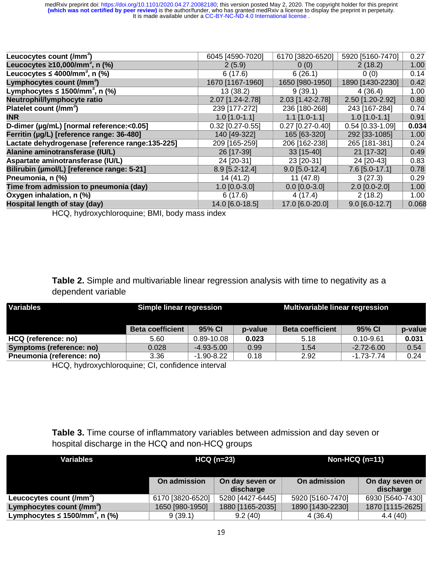| Leucocytes count (/mm <sup>3</sup> )            | 6045 [4590-7020]   | 6170 [3820-6520]   | 5920 [5160-7470]   | 0.27  |
|-------------------------------------------------|--------------------|--------------------|--------------------|-------|
| Leucocytes $\geq 10,000/\text{mm}^3$ , n (%)    | 2(5.9)             | 0(0)               | 2(18.2)            | 1.00  |
| Leucocytes $\leq 4000$ /mm <sup>3</sup> , n (%) | 6(17.6)            | 6(26.1)            | 0(0)               | 0.14  |
| Lymphocytes count (/mm <sup>3</sup> )           | 1670 [1167-1960]   | 1650 [980-1950]    | 1890 [1430-2230]   | 0.42  |
| Lymphocytes $\leq$ 1500/mm <sup>3</sup> , n (%) | 13(38.2)           | 9(39.1)            | 4(36.4)            | 1.00  |
| Neutrophil/lymphocyte ratio                     | 2.07 [1.24-2.78]   | 2.03 [1.42-2.78]   | 2.50 [1.20-2.92]   | 0.80  |
| Platelet count (/mm <sup>3</sup> )              | 239 [177-272]      | 236 [180-268]      | 243 [167-284]      | 0.74  |
| <b>INR</b>                                      | $1.0$ [1.0-1.1]    | $1.1$ [1.0-1.1]    | $1.0$ [1.0-1.1]    | 0.91  |
| D-dimer (µg/mL) [normal reference:<0.05]        | $0.32$ [0.27-0.55] | $0.27$ [0.27-0.40] | $0.54$ [0.33-1.09] | 0.034 |
| Ferritin (µg/L) [reference range: 36-480]       | 140 [49-322]       | 165 [63-320]       | 292 [33-1085]      | 1.00  |
| Lactate dehydrogenase [reference range:135-225] | 209 [165-259]      | 206 [162-238]      | 265 [181-381]      | 0.24  |
| Alanine aminotransferase (IU/L)                 | 26 [17-39]         | $33$ [15-40]       | 21 [17-32]         | 0.49  |
| Aspartate aminotransferase (IU/L)               | 24 [20-31]         | 23 [20-31]         | 24 [20-43]         | 0.83  |
| Bilirubin (µmol/L) [reference range: 5-21]      | 8.9 [5.2-12.4]     | $9.0$ [5.0-12.4]   | 7.6 [5.0-17.1]     | 0.78  |
| Pneumonia, n (%)                                | 14 (41.2)          | 11(47.8)           | 3(27.3)            | 0.29  |
| Time from admission to pneumonia (day)          | $1.0$ [0.0-3.0]    | $0.0$ [0.0-3.0]    | $2.0$ [0.0-2.0]    | 1.00  |
| Oxygen inhalation, n (%)                        | 6(17.6)            | 4(17.4)            | 2(18.2)            | 1.00  |
| Hospital length of stay (day)                   | 14.0 [6.0-18.5]    | 17.0 [6.0-20.0]    | $9.0$ [6.0-12.7]   | 0.068 |
|                                                 |                    |                    |                    |       |

HCQ, hydroxychloroquine; BMI, body mass index

**Table 2.** Simple and multivariable linear regression analysis with time to negativity as a dependent variable

| <b>Variables</b>          | <b>Simple linear regression</b> |                |         | <b>Multivariable linear regression</b> |                |         |  |
|---------------------------|---------------------------------|----------------|---------|----------------------------------------|----------------|---------|--|
|                           | <b>Beta coefficient</b>         | 95% CI         | p-value | <b>Beta coefficient</b>                | 95% CI         | p-value |  |
| HCQ (reference: no)       | 5.60                            | 0.89-10.08     | 0.023   | 5.18                                   | $0.10 - 9.61$  | 0.031   |  |
| Symptoms (reference: no)  | 0.028                           | $-4.93 - 5.00$ | 0.99    | 1.54                                   | $-2.72 - 6.00$ | 0.54    |  |
| Pneumonia (reference: no) | 3.36                            | $-1.90 - 8.22$ | 0.18    | 2.92                                   | $-1.73 - 7.74$ | 0.24    |  |

HCQ, hydroxychloroquine; CI, confidence interval

## **Table 3.** Time course of inflammatory variables between admission and day seven or hospital discharge in the HCQ and non-HCQ groups

| Variables                                        | $H CQ (n=23)$    |                              | Non-HCQ $(n=11)$ |                              |  |
|--------------------------------------------------|------------------|------------------------------|------------------|------------------------------|--|
|                                                  | On admission     | On day seven or<br>discharge | On admission     | On day seven or<br>discharge |  |
| Leucocytes count (/mm <sup>3</sup> )             | 6170 [3820-6520] | 5280 [4427-6445]             | 5920 [5160-7470] | 6930 [5640-7430]             |  |
| Lymphocytes count (/mm <sup>3</sup> )            | 1650 [980-1950]  | 1880 [1165-2035]             | 1890 [1430-2230] | 1870 [1115-2625]             |  |
| Lymphocytes $\leq 1500$ /mm <sup>3</sup> , n (%) | 9(39.1)          | 9.2(40)                      | 4(36.4)          | 4.4(40)                      |  |
|                                                  |                  |                              |                  |                              |  |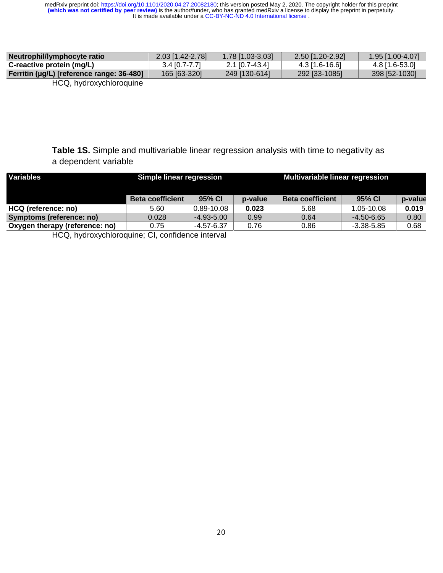| Neutrophil/lymphocyte ratio               | 2.03 [1.42-2.78] | 1.78 [1.03-3.03] | 2.50 [1.20-2.92] | 1.95 [1.00-4.07] |
|-------------------------------------------|------------------|------------------|------------------|------------------|
| C-reactive protein (mg/L)                 | $3.4$ [0.7-7.7]  | 2.1 [0.7-43.4]   | $4.3$ [1.6-16.6] | 4.8 [1.6-53.0]   |
| Ferritin (µg/L) [reference range: 36-480] | 165 [63-320]     | 249 [130-614]    | 292 [33-1085]    | 398 [52-1030]    |
|                                           |                  |                  |                  |                  |

HCQ, hydroxychloroquine

**Table 1S.** Simple and multivariable linear regression analysis with time to negativity as a dependent variable

| <b>Variables</b>               | Simple linear regression |                |         | Multivariable linear regression |                |         |
|--------------------------------|--------------------------|----------------|---------|---------------------------------|----------------|---------|
|                                | <b>Beta coefficient</b>  | 95% CI         | p-value | <b>Beta coefficient</b>         | 95% CI         | p-value |
| HCQ (reference: no)            | 5.60                     | $0.89 - 10.08$ | 0.023   | 5.68                            | 1.05-10.08     | 0.019   |
| Symptoms (reference: no)       | 0.028                    | $-4.93 - 5.00$ | 0.99    | 0.64                            | $-4.50 - 6.65$ | 0.80    |
| Oxygen therapy (reference: no) | 0.75                     | $-4.57 - 6.37$ | 0.76    | 0.86                            | $-3.38 - 5.85$ | 0.68    |

HCQ, hydroxychloroquine; CI, confidence interval